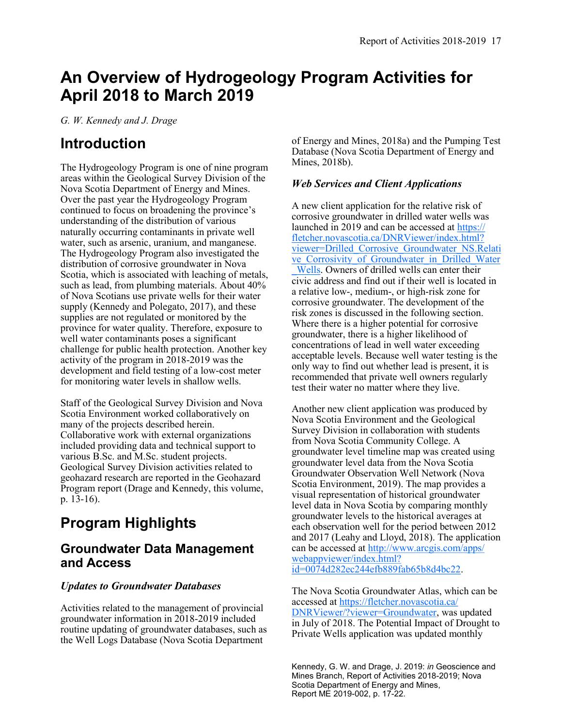# **An Overview of Hydrogeology Program Activities for April 2018 to March 2019**

*G. W. Kennedy and J. Drage*

## **Introduction**

The Hydrogeology Program is one of nine program areas within the Geological Survey Division of the Nova Scotia Department of Energy and Mines. Over the past year the Hydrogeology Program continued to focus on broadening the province's understanding of the distribution of various naturally occurring contaminants in private well water, such as arsenic, uranium, and manganese. The Hydrogeology Program also investigated the distribution of corrosive groundwater in Nova Scotia, which is associated with leaching of metals, such as lead, from plumbing materials. About 40% of Nova Scotians use private wells for their water supply (Kennedy and Polegato, 2017), and these supplies are not regulated or monitored by the province for water quality. Therefore, exposure to well water contaminants poses a significant challenge for public health protection. Another key activity of the program in 2018-2019 was the development and field testing of a low-cost meter for monitoring water levels in shallow wells.

Staff of the Geological Survey Division and Nova Scotia Environment worked collaboratively on many of the projects described herein. Collaborative work with external organizations included providing data and technical support to various B.Sc. and M.Sc. student projects. Geological Survey Division activities related to geohazard research are reported in the Geohazard Program report (Drage and Kennedy, this volume, p. 13-16).

# **Program Highlights**

### **Groundwater Data Management and Access**

### *Updates to Groundwater Databases*

Activities related to the management of provincial groundwater information in 2018-2019 included routine updating of groundwater databases, such as the Well Logs Database (Nova Scotia Department

of Energy and Mines, 2018a) and the Pumping Test Database (Nova Scotia Department of Energy and Mines, 2018b).

### *Web Services and Client Applications*

A new client application for the relative risk of corrosive groundwater in drilled water wells was launched in 2019 and can be accessed at [https://](https://fletcher.novascotia.ca/DNRViewer/index.html?viewer=Drilled_Corrosive_Groundwater_NS.Relative_Corrosivity_of_Groundwater_in_Drilled_Water_Wells) [fletcher.novascotia.ca/DNRViewer/index.html?](https://fletcher.novascotia.ca/DNRViewer/index.html?viewer=Drilled_Corrosive_Groundwater_NS.Relative_Corrosivity_of_Groundwater_in_Drilled_Water_Wells) [viewer=Drilled\\_Corrosive\\_Groundwater\\_NS.Relati](https://fletcher.novascotia.ca/DNRViewer/index.html?viewer=Drilled_Corrosive_Groundwater_NS.Relative_Corrosivity_of_Groundwater_in_Drilled_Water_Wells) ve Corrosivity of Groundwater in Drilled Water [\\_Wells.](https://fletcher.novascotia.ca/DNRViewer/index.html?viewer=Drilled_Corrosive_Groundwater_NS.Relative_Corrosivity_of_Groundwater_in_Drilled_Water_Wells) Owners of drilled wells can enter their civic address and find out if their well is located in a relative low-, medium-, or high-risk zone for corrosive groundwater. The development of the risk zones is discussed in the following section. Where there is a higher potential for corrosive groundwater, there is a higher likelihood of concentrations of lead in well water exceeding acceptable levels. Because well water testing is the only way to find out whether lead is present, it is recommended that private well owners regularly test their water no matter where they live.

Another new client application was produced by Nova Scotia Environment and the Geological Survey Division in collaboration with students from Nova Scotia Community College. A groundwater level timeline map was created using groundwater level data from the Nova Scotia Groundwater Observation Well Network (Nova Scotia Environment, 2019). The map provides a visual representation of historical groundwater level data in Nova Scotia by comparing monthly groundwater levels to the historical averages at each observation well for the period between 2012 and 2017 (Leahy and Lloyd, 2018). The application can be accessed at [http://www.arcgis.com/apps/](http://www.arcgis.com/apps/webappviewer/index.html?id=0074d282ec244efb889fab65b8d4bc22) [webappviewer/index.html?](http://www.arcgis.com/apps/webappviewer/index.html?id=0074d282ec244efb889fab65b8d4bc22) [id=0074d282ec244efb889fab65b8d4bc22.](http://www.arcgis.com/apps/webappviewer/index.html?id=0074d282ec244efb889fab65b8d4bc22)

The Nova Scotia Groundwater Atlas, which can be accessed at [https://fletcher.novascotia.ca/](https://fletcher.novascotia.ca/DNRViewer/?viewer=Groundwater) [DNRViewer/?viewer=Groundwater,](https://fletcher.novascotia.ca/DNRViewer/?viewer=Groundwater) was updated in July of 2018. The Potential Impact of Drought to Private Wells application was updated monthly

Kennedy, G. W. and Drage, J. 2019: *in* Geoscience and Mines Branch, Report of Activities 2018-2019; Nova Scotia Department of Energy and Mines, Report ME 2019-002, p. 17-22.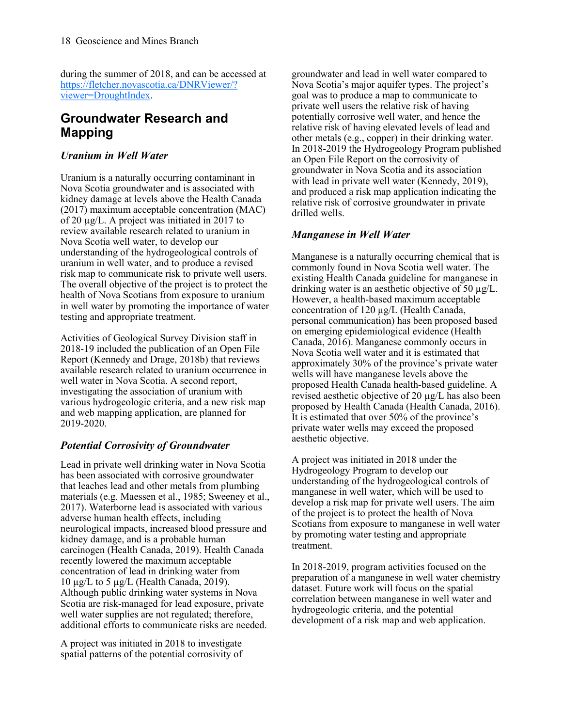during the summer of 2018, and can be accessed at [https://fletcher.novascotia.ca/DNRViewer/?](https://fletcher.novascotia.ca/DNRViewer/?viewer=DroughtIndex) [viewer=DroughtIndex.](https://fletcher.novascotia.ca/DNRViewer/?viewer=DroughtIndex)

### **Groundwater Research and Mapping**

### *Uranium in Well Water*

Uranium is a naturally occurring contaminant in Nova Scotia groundwater and is associated with kidney damage at levels above the Health Canada (2017) maximum acceptable concentration (MAC) of 20 µg/L. A project was initiated in 2017 to review available research related to uranium in Nova Scotia well water, to develop our understanding of the hydrogeological controls of uranium in well water, and to produce a revised risk map to communicate risk to private well users. The overall objective of the project is to protect the health of Nova Scotians from exposure to uranium in well water by promoting the importance of water testing and appropriate treatment.

Activities of Geological Survey Division staff in 2018-19 included the publication of an Open File Report (Kennedy and Drage, 2018b) that reviews available research related to uranium occurrence in well water in Nova Scotia. A second report, investigating the association of uranium with various hydrogeologic criteria, and a new risk map and web mapping application, are planned for 2019-2020.

### *Potential Corrosivity of Groundwater*

Lead in private well drinking water in Nova Scotia has been associated with corrosive groundwater that leaches lead and other metals from plumbing materials (e.g. Maessen et al., 1985; Sweeney et al., 2017). Waterborne lead is associated with various adverse human health effects, including neurological impacts, increased blood pressure and kidney damage, and is a probable human carcinogen (Health Canada, 2019). Health Canada recently lowered the maximum acceptable concentration of lead in drinking water from 10 µg/L to 5 µg/L (Health Canada, 2019). Although public drinking water systems in Nova Scotia are risk-managed for lead exposure, private well water supplies are not regulated; therefore, additional efforts to communicate risks are needed.

A project was initiated in 2018 to investigate spatial patterns of the potential corrosivity of groundwater and lead in well water compared to Nova Scotia's major aquifer types. The project's goal was to produce a map to communicate to private well users the relative risk of having potentially corrosive well water, and hence the relative risk of having elevated levels of lead and other metals (e.g., copper) in their drinking water. In 2018-2019 the Hydrogeology Program published an Open File Report on the corrosivity of groundwater in Nova Scotia and its association with lead in private well water (Kennedy, 2019), and produced a risk map application indicating the relative risk of corrosive groundwater in private drilled wells.

### *Manganese in Well Water*

Manganese is a naturally occurring chemical that is commonly found in Nova Scotia well water. The existing Health Canada guideline for manganese in drinking water is an aesthetic objective of 50 µg/L. However, a health-based maximum acceptable concentration of 120 µg/L (Health Canada, personal communication) has been proposed based on emerging epidemiological evidence (Health Canada, 2016). Manganese commonly occurs in Nova Scotia well water and it is estimated that approximately 30% of the province's private water wells will have manganese levels above the proposed Health Canada health-based guideline. A revised aesthetic objective of 20 µg/L has also been proposed by Health Canada (Health Canada, 2016). It is estimated that over 50% of the province's private water wells may exceed the proposed aesthetic objective.

A project was initiated in 2018 under the Hydrogeology Program to develop our understanding of the hydrogeological controls of manganese in well water, which will be used to develop a risk map for private well users. The aim of the project is to protect the health of Nova Scotians from exposure to manganese in well water by promoting water testing and appropriate treatment.

In 2018-2019, program activities focused on the preparation of a manganese in well water chemistry dataset. Future work will focus on the spatial correlation between manganese in well water and hydrogeologic criteria, and the potential development of a risk map and web application.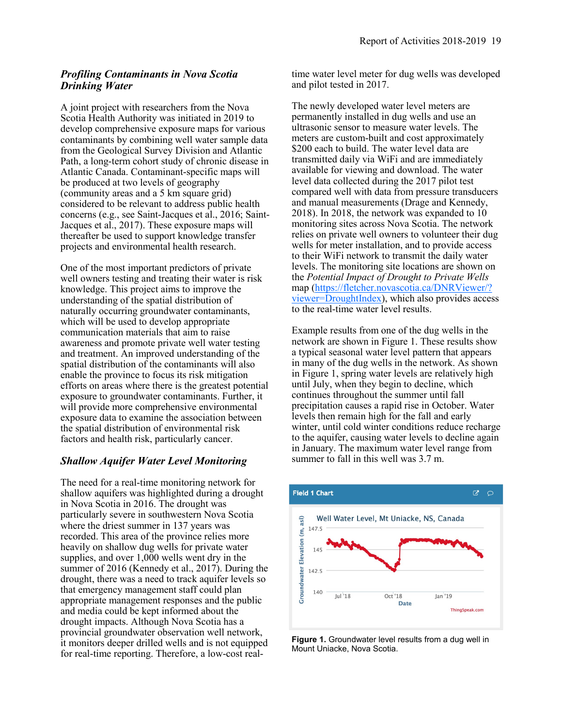### *Profiling Contaminants in Nova Scotia Drinking Water*

A joint project with researchers from the Nova Scotia Health Authority was initiated in 2019 to develop comprehensive exposure maps for various contaminants by combining well water sample data from the Geological Survey Division and Atlantic Path, a long-term cohort study of chronic disease in Atlantic Canada. Contaminant-specific maps will be produced at two levels of geography (community areas and a 5 km square grid) considered to be relevant to address public health concerns (e.g., see Saint-Jacques et al., 2016; Saint-Jacques et al., 2017). These exposure maps will thereafter be used to support knowledge transfer projects and environmental health research.

One of the most important predictors of private well owners testing and treating their water is risk knowledge. This project aims to improve the understanding of the spatial distribution of naturally occurring groundwater contaminants, which will be used to develop appropriate communication materials that aim to raise awareness and promote private well water testing and treatment. An improved understanding of the spatial distribution of the contaminants will also enable the province to focus its risk mitigation efforts on areas where there is the greatest potential exposure to groundwater contaminants. Further, it will provide more comprehensive environmental exposure data to examine the association between the spatial distribution of environmental risk factors and health risk, particularly cancer.

### *Shallow Aquifer Water Level Monitoring*

The need for a real-time monitoring network for shallow aquifers was highlighted during a drought in Nova Scotia in 2016. The drought was particularly severe in southwestern Nova Scotia where the driest summer in 137 years was recorded. This area of the province relies more heavily on shallow dug wells for private water supplies, and over 1,000 wells went dry in the summer of 2016 (Kennedy et al., 2017). During the drought, there was a need to track aquifer levels so that emergency management staff could plan appropriate management responses and the public and media could be kept informed about the drought impacts. Although Nova Scotia has a provincial groundwater observation well network, it monitors deeper drilled wells and is not equipped for real-time reporting. Therefore, a low-cost realtime water level meter for dug wells was developed and pilot tested in 2017.

The newly developed water level meters are permanently installed in dug wells and use an ultrasonic sensor to measure water levels. The meters are custom-built and cost approximately \$200 each to build. The water level data are transmitted daily via WiFi and are immediately available for viewing and download. The water level data collected during the 2017 pilot test compared well with data from pressure transducers and manual measurements (Drage and Kennedy, 2018). In 2018, the network was expanded to 10 monitoring sites across Nova Scotia. The network relies on private well owners to volunteer their dug wells for meter installation, and to provide access to their WiFi network to transmit the daily water levels. The monitoring site locations are shown on the *Potential Impact of Drought to Private Wells*  map [\(https://fletcher.novascotia.ca/DNRViewer/?](https://fletcher.novascotia.ca/DNRViewer/?viewer=DroughtIndex) [viewer=DroughtIndex\),](https://fletcher.novascotia.ca/DNRViewer/?viewer=DroughtIndex) which also provides access to the real-time water level results.

Example results from one of the dug wells in the network are shown in Figure 1. These results show a typical seasonal water level pattern that appears in many of the dug wells in the network. As shown in Figure 1, spring water levels are relatively high until July, when they begin to decline, which continues throughout the summer until fall precipitation causes a rapid rise in October. Water levels then remain high for the fall and early winter, until cold winter conditions reduce recharge to the aquifer, causing water levels to decline again in January. The maximum water level range from summer to fall in this well was 3.7 m.



**Figure 1.** Groundwater level results from a dug well in Mount Uniacke, Nova Scotia.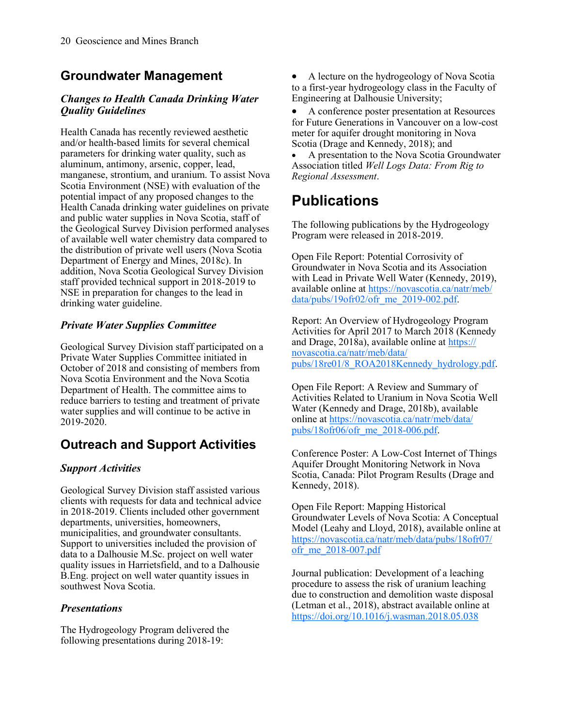### **Groundwater Management**

### *Changes to Health Canada Drinking Water Quality Guidelines*

Health Canada has recently reviewed aesthetic and/or health-based limits for several chemical parameters for drinking water quality, such as aluminum, antimony, arsenic, copper, lead, manganese, strontium, and uranium. To assist Nova Scotia Environment (NSE) with evaluation of the potential impact of any proposed changes to the Health Canada drinking water guidelines on private and public water supplies in Nova Scotia, staff of the Geological Survey Division performed analyses of available well water chemistry data compared to the distribution of private well users (Nova Scotia Department of Energy and Mines, 2018c). In addition, Nova Scotia Geological Survey Division staff provided technical support in 2018-2019 to NSE in preparation for changes to the lead in drinking water guideline.

### *Private Water Supplies Committee*

Geological Survey Division staff participated on a Private Water Supplies Committee initiated in October of 2018 and consisting of members from Nova Scotia Environment and the Nova Scotia Department of Health. The committee aims to reduce barriers to testing and treatment of private water supplies and will continue to be active in 2019-2020.

### **Outreach and Support Activities**

### *Support Activities*

Geological Survey Division staff assisted various clients with requests for data and technical advice in 2018-2019. Clients included other government departments, universities, homeowners, municipalities, and groundwater consultants. Support to universities included the provision of data to a Dalhousie M.Sc. project on well water quality issues in Harrietsfield, and to a Dalhousie B.Eng. project on well water quantity issues in southwest Nova Scotia.

### *Presentations*

The Hydrogeology Program delivered the following presentations during 2018-19:

• A lecture on the hydrogeology of Nova Scotia to a first-year hydrogeology class in the Faculty of Engineering at Dalhousie University;

• A conference poster presentation at Resources for Future Generations in Vancouver on a low-cost meter for aquifer drought monitoring in Nova Scotia (Drage and Kennedy, 2018); and

• A presentation to the Nova Scotia Groundwater Association titled *Well Logs Data: From Rig to Regional Assessment*.

## **Publications**

The following publications by the Hydrogeology Program were released in 2018-2019.

Open File Report: Potential Corrosivity of Groundwater in Nova Scotia and its Association with Lead in Private Well Water (Kennedy, 2019), available online at [https://novascotia.ca/natr/meb/](https://novascotia.ca/natr/meb/data/pubs/19ofr02/ofr_me_2019-002.pdf)  $data/pubs/19ofr02/off$  me 2019-002.pdf.

Report: An Overview of Hydrogeology Program Activities for April 2017 to March 2018 (Kennedy and Drage, 2018a), available online at [https://](https://novascotia.ca/natr/meb/data/pubs/18re01/8_ROA2018Kennedy_hydrology.pdf) [novascotia.ca/natr/meb/data/](https://novascotia.ca/natr/meb/data/pubs/18re01/8_ROA2018Kennedy_hydrology.pdf) [pubs/18re01/8\\_ROA2018Kennedy\\_hydrology.pdf.](https://novascotia.ca/natr/meb/data/pubs/18re01/8_ROA2018Kennedy_hydrology.pdf)

Open File Report: A Review and Summary of Activities Related to Uranium in Nova Scotia Well Water (Kennedy and Drage, 2018b), available online at [https://novascotia.ca/natr/meb/data/](https://novascotia.ca/natr/meb/data/pubs/18ofr06/ofr_me_2018-006.pdf) pubs/18ofr0 $6/$ ofr\_me $2018-006$ .pdf.

Conference Poster: A Low-Cost Internet of Things Aquifer Drought Monitoring Network in Nova Scotia, Canada: Pilot Program Results (Drage and Kennedy, 2018).

Open File Report: Mapping Historical Groundwater Levels of Nova Scotia: A Conceptual Model (Leahy and Lloyd, 2018), available online at [https://novascotia.ca/natr/meb/data/pubs/18ofr07/](https://novascotia.ca/natr/meb/data/pubs/18ofr07/ofr_me_2018-007.pdf) [ofr\\_me\\_2018](https://novascotia.ca/natr/meb/data/pubs/18ofr07/ofr_me_2018-007.pdf)-007.pdf

Journal publication: Development of a leaching procedure to assess the risk of uranium leaching due to construction and demolition waste disposal (Letman et al., 2018), abstract available online at <https://doi.org/10.1016/j.wasman.2018.05.038>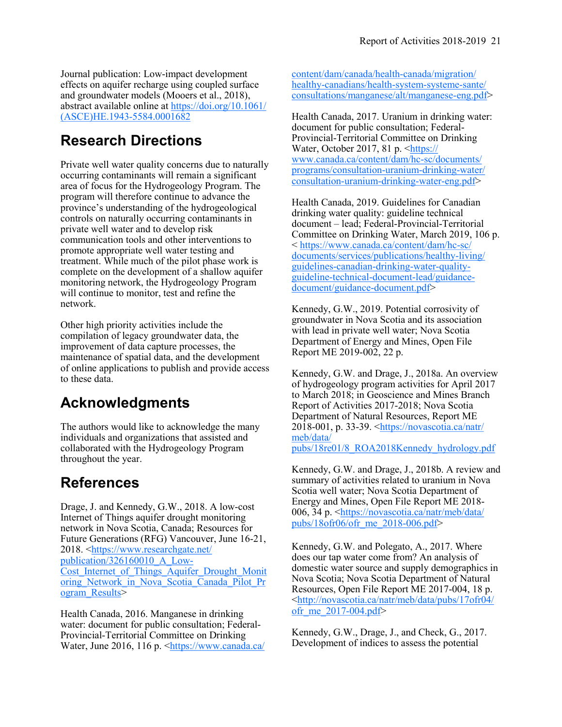Journal publication: Low-impact development effects on aquifer recharge using coupled surface and groundwater models (Mooers et al., 2018), abstract available online at [https://doi.org/10.1061/](https://doi.org/10.1061/(ASCE)HE.1943-5584.0001682) [\(ASCE\)HE.1943](https://doi.org/10.1061/(ASCE)HE.1943-5584.0001682)-5584.0001682

## **Research Directions**

Private well water quality concerns due to naturally occurring contaminants will remain a significant area of focus for the Hydrogeology Program. The program will therefore continue to advance the province's understanding of the hydrogeological controls on naturally occurring contaminants in private well water and to develop risk communication tools and other interventions to promote appropriate well water testing and treatment. While much of the pilot phase work is complete on the development of a shallow aquifer monitoring network, the Hydrogeology Program will continue to monitor, test and refine the network.

Other high priority activities include the compilation of legacy groundwater data, the improvement of data capture processes, the maintenance of spatial data, and the development of online applications to publish and provide access to these data.

## **Acknowledgments**

The authors would like to acknowledge the many individuals and organizations that assisted and collaborated with the Hydrogeology Program throughout the year.

## **References**

Drage, J. and Kennedy, G.W., 2018. A low-cost Internet of Things aquifer drought monitoring network in Nova Scotia, Canada; Resources for Future Generations (RFG) Vancouver, June 16-21, 2018. <[https://www.researchgate.net/](https://www.researchgate.net/publication/326160010_A_Low-Cost_Internet_of_Things_Aquifer_Drought_Monitoring_Network_in_Nova_Scotia_Canada_Pilot_Program_Results) [publication/326160010\\_A\\_Low](https://www.researchgate.net/publication/326160010_A_Low-Cost_Internet_of_Things_Aquifer_Drought_Monitoring_Network_in_Nova_Scotia_Canada_Pilot_Program_Results)-Cost Internet of Things Aquifer Drought Monit oring Network in Nova Scotia Canada Pilot Pr ogram Results>

Health Canada, 2016. Manganese in drinking water: document for public consultation; Federal-Provincial-Territorial Committee on Drinking Water, June 2016, 116 p. [<https://www.canada.ca/](https://www.canada.ca/content/dam/canada/health-canada/migration/healthy-canadians/health-system-systeme-sante/consultations/manganese/alt/manganese-eng.pdf)

[content/dam/canada/health](https://www.canada.ca/content/dam/canada/health-canada/migration/healthy-canadians/health-system-systeme-sante/consultations/manganese/alt/manganese-eng.pdf)-canada/migration/ healthy-[canadians/health](https://www.canada.ca/content/dam/canada/health-canada/migration/healthy-canadians/health-system-systeme-sante/consultations/manganese/alt/manganese-eng.pdf)-system-systeme-sante/ [consultations/manganese/alt/manganese](https://www.canada.ca/content/dam/canada/health-canada/migration/healthy-canadians/health-system-systeme-sante/consultations/manganese/alt/manganese-eng.pdf)-eng.pdf>

Health Canada, 2017. Uranium in drinking water: document for public consultation; Federal-Provincial-Territorial Committee on Drinking Water, October 2017, 81 p. <[https://](https://www.canada.ca/content/dam/hc-sc/documents/programs/consultation-uranium-drinking-water/consultation-uranium-drinking-water-eng.pdf) [www.canada.ca/content/dam/hc](https://www.canada.ca/content/dam/hc-sc/documents/programs/consultation-uranium-drinking-water/consultation-uranium-drinking-water-eng.pdf)-sc/documents/ [programs/consultation](https://www.canada.ca/content/dam/hc-sc/documents/programs/consultation-uranium-drinking-water/consultation-uranium-drinking-water-eng.pdf)-uranium-drinking-water/ [consultation](https://www.canada.ca/content/dam/hc-sc/documents/programs/consultation-uranium-drinking-water/consultation-uranium-drinking-water-eng.pdf)-uranium-drinking-water-eng.pdf>

Health Canada, 2019. Guidelines for Canadian drinking water quality: guideline technical document – lead; Federal-Provincial-Territorial Committee on Drinking Water, March 2019, 106 p. < [https://www.canada.ca/content/dam/hc](https://www.canada.ca/content/dam/hc-sc/documents/services/publications/healthy-living/guidelines-canadian-drinking-water-quality-guideline-technical-document-lead/guidance-document/guidance-document.pdf)-sc/ [documents/services/publications/healthy](https://www.canada.ca/content/dam/hc-sc/documents/services/publications/healthy-living/guidelines-canadian-drinking-water-quality-guideline-technical-document-lead/guidance-document/guidance-document.pdf)-living/ [guidelines](https://www.canada.ca/content/dam/hc-sc/documents/services/publications/healthy-living/guidelines-canadian-drinking-water-quality-guideline-technical-document-lead/guidance-document/guidance-document.pdf)-canadian-drinking-water-qualityguideline-technical-document-[lead/guidance](https://www.canada.ca/content/dam/hc-sc/documents/services/publications/healthy-living/guidelines-canadian-drinking-water-quality-guideline-technical-document-lead/guidance-document/guidance-document.pdf)[document/guidance](https://www.canada.ca/content/dam/hc-sc/documents/services/publications/healthy-living/guidelines-canadian-drinking-water-quality-guideline-technical-document-lead/guidance-document/guidance-document.pdf)-document.pdf>

Kennedy, G.W., 2019. Potential corrosivity of groundwater in Nova Scotia and its association with lead in private well water; Nova Scotia Department of Energy and Mines, Open File Report ME 2019-002, 22 p.

Kennedy, G.W. and Drage, J., 2018a. An overview of hydrogeology program activities for April 2017 to March 2018; in Geoscience and Mines Branch Report of Activities 2017-2018; Nova Scotia Department of Natural Resources, Report ME 2018-001, p. 33-39. [<https://novascotia.ca/natr/](https://novascotia.ca/natr/meb/data/pubs/18re01/8_ROA2018Kennedy_hydrology.pdf) [meb/data/](https://novascotia.ca/natr/meb/data/pubs/18re01/8_ROA2018Kennedy_hydrology.pdf) [pubs/18re01/8\\_ROA2018Kennedy\\_hydrology.pdf](https://novascotia.ca/natr/meb/data/pubs/18re01/8_ROA2018Kennedy_hydrology.pdf)

Kennedy, G.W. and Drage, J., 2018b. A review and summary of activities related to uranium in Nova Scotia well water; Nova Scotia Department of Energy and Mines, Open File Report ME 2018 006, 34 p. <[https://novascotia.ca/natr/meb/data/](https://novascotia.ca/natr/meb/data/pubs/18ofr06/ofr_me_2018-006.pdf) [pubs/18ofr06/ofr\\_me\\_2018](https://novascotia.ca/natr/meb/data/pubs/18ofr06/ofr_me_2018-006.pdf)-006.pdf>

Kennedy, G.W. and Polegato, A., 2017. Where does our tap water come from? An analysis of domestic water source and supply demographics in Nova Scotia; Nova Scotia Department of Natural Resources, Open File Report ME 2017-004, 18 p. [<http://novascotia.ca/natr/meb/data/pubs/17ofr04/](http://novascotia.ca/natr/meb/data/pubs/17ofr04/ofr_me_2017-004.pdf) ofr me  $2017-004.$ pdf>

Kennedy, G.W., Drage, J., and Check, G., 2017. Development of indices to assess the potential